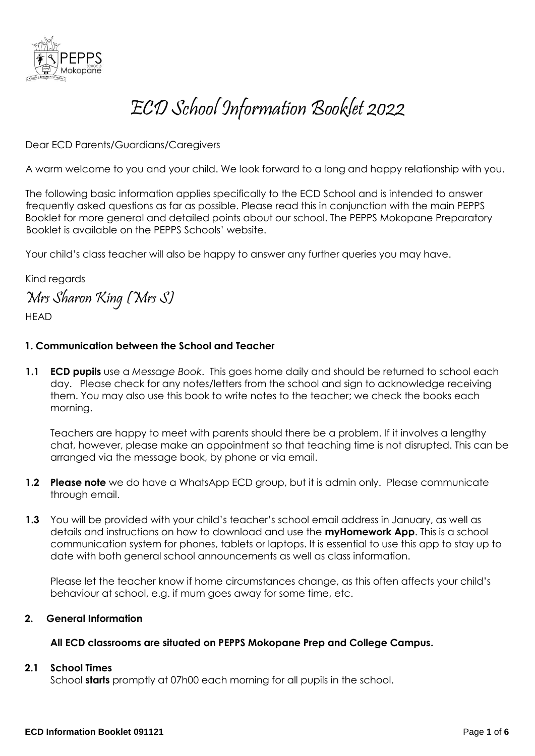

# ECD School Information Booklet 2022

Dear ECD Parents/Guardians/Caregivers

A warm welcome to you and your child. We look forward to a long and happy relationship with you.

The following basic information applies specifically to the ECD School and is intended to answer frequently asked questions as far as possible. Please read this in conjunction with the main PEPPS Booklet for more general and detailed points about our school. The PEPPS Mokopane Preparatory Booklet is available on the PEPPS Schools' website.

Your child's class teacher will also be happy to answer any further queries you may have.

Kind regards Mrs Sharon King (Mrs S) **HFAD** 

# **1. Communication between the School and Teacher**

**1.1 ECD pupils** use a *Message Book*. This goes home daily and should be returned to school each day. Please check for any notes/letters from the school and sign to acknowledge receiving them. You may also use this book to write notes to the teacher; we check the books each morning.

Teachers are happy to meet with parents should there be a problem. If it involves a lengthy chat, however, please make an appointment so that teaching time is not disrupted. This can be arranged via the message book, by phone or via email.

- **1.2 Please note** we do have a WhatsApp ECD group, but it is admin only. Please communicate through email.
- **1.3** You will be provided with your child's teacher's school email address in January, as well as details and instructions on how to download and use the **myHomework App**. This is a school communication system for phones, tablets or laptops. It is essential to use this app to stay up to date with both general school announcements as well as class information.

Please let the teacher know if home circumstances change, as this often affects your child's behaviour at school, e.g. if mum goes away for some time, etc.

# **2. General Information**

#### **All ECD classrooms are situated on PEPPS Mokopane Prep and College Campus.**

#### **2.1 School Times**

School **starts** promptly at 07h00 each morning for all pupils in the school.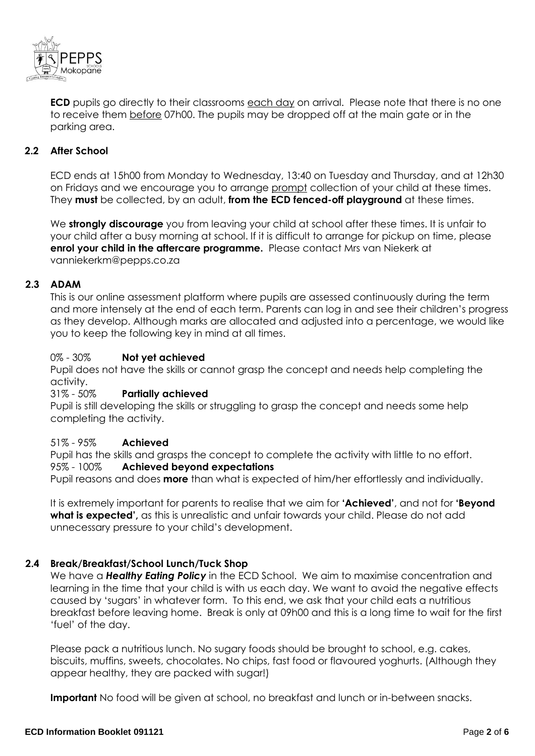

**ECD** pupils go directly to their classrooms each day on arrival. Please note that there is no one to receive them before 07h00. The pupils may be dropped off at the main gate or in the parking area.

# **2.2 After School**

ECD ends at 15h00 from Monday to Wednesday, 13:40 on Tuesday and Thursday, and at 12h30 on Fridays and we encourage you to arrange prompt collection of your child at these times. They **must** be collected, by an adult, **from the ECD fenced-off playground** at these times.

We **strongly discourage** you from leaving your child at school after these times. It is unfair to your child after a busy morning at school. If it is difficult to arrange for pickup on time, please **enrol your child in the aftercare programme.** Please contact Mrs van Niekerk at vanniekerkm@pepps.co.za

# **2.3 ADAM**

This is our online assessment platform where pupils are assessed continuously during the term and more intensely at the end of each term. Parents can log in and see their children's progress as they develop. Although marks are allocated and adjusted into a percentage, we would like you to keep the following key in mind at all times.

# 0% - 30% **Not yet achieved**

Pupil does not have the skills or cannot grasp the concept and needs help completing the activity.

#### 31% - 50% **Partially achieved**

Pupil is still developing the skills or struggling to grasp the concept and needs some help completing the activity.

#### 51% - 95% **Achieved**

Pupil has the skills and grasps the concept to complete the activity with little to no effort. 95% - 100% **Achieved beyond expectations**

Pupil reasons and does **more** than what is expected of him/her effortlessly and individually.

It is extremely important for parents to realise that we aim for **'Achieved'**, and not for **'Beyond what is expected',** as this is unrealistic and unfair towards your child. Please do not add unnecessary pressure to your child's development.

#### **2.4 Break/Breakfast/School Lunch/Tuck Shop**

We have a *Healthy Eating Policy* in the ECD School. We aim to maximise concentration and learning in the time that your child is with us each day. We want to avoid the negative effects caused by 'sugars' in whatever form. To this end, we ask that your child eats a nutritious breakfast before leaving home. Break is only at 09h00 and this is a long time to wait for the first 'fuel' of the day.

Please pack a nutritious lunch. No sugary foods should be brought to school, e.g. cakes, biscuits, muffins, sweets, chocolates. No chips, fast food or flavoured yoghurts. (Although they appear healthy, they are packed with sugar!)

**Important** No food will be given at school, no breakfast and lunch or in-between snacks.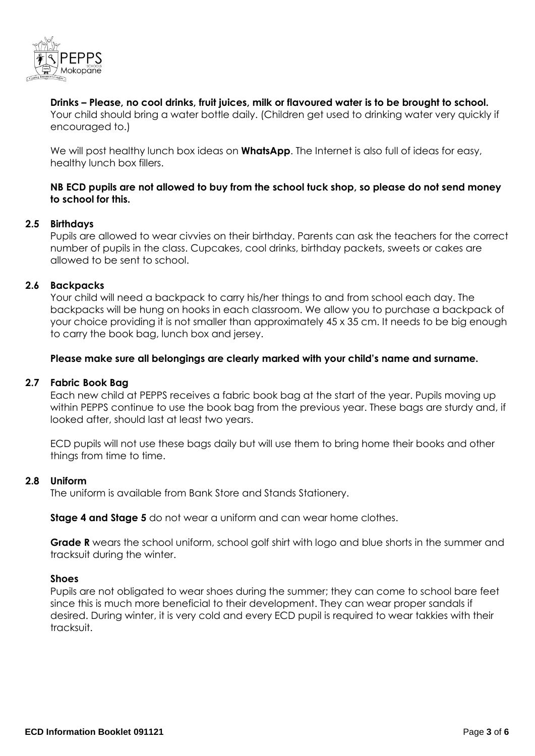

**Drinks – Please, no cool drinks, fruit juices, milk or flavoured water is to be brought to school.** Your child should bring a water bottle daily. (Children get used to drinking water very quickly if encouraged to.)

We will post healthy lunch box ideas on **WhatsApp**. The Internet is also full of ideas for easy, healthy lunch box fillers.

# **NB ECD pupils are not allowed to buy from the school tuck shop, so please do not send money to school for this.**

#### **2.5 Birthdays**

Pupils are allowed to wear civvies on their birthday. Parents can ask the teachers for the correct number of pupils in the class. Cupcakes, cool drinks, birthday packets, sweets or cakes are allowed to be sent to school.

#### **2.6 Backpacks**

Your child will need a backpack to carry his/her things to and from school each day. The backpacks will be hung on hooks in each classroom. We allow you to purchase a backpack of your choice providing it is not smaller than approximately 45 x 35 cm. It needs to be big enough to carry the book bag, lunch box and jersey.

#### **Please make sure all belongings are clearly marked with your child's name and surname.**

#### **2.7 Fabric Book Bag**

Each new child at PEPPS receives a fabric book bag at the start of the year. Pupils moving up within PEPPS continue to use the book bag from the previous year. These bags are sturdy and, if looked after, should last at least two years.

ECD pupils will not use these bags daily but will use them to bring home their books and other things from time to time.

#### **2.8 Uniform**

The uniform is available from Bank Store and Stands Stationery.

**Stage 4 and Stage 5** do not wear a uniform and can wear home clothes.

**Grade R** wears the school uniform, school golf shirt with logo and blue shorts in the summer and tracksuit during the winter.

#### **Shoes**

Pupils are not obligated to wear shoes during the summer; they can come to school bare feet since this is much more beneficial to their development. They can wear proper sandals if desired. During winter, it is very cold and every ECD pupil is required to wear takkies with their tracksuit.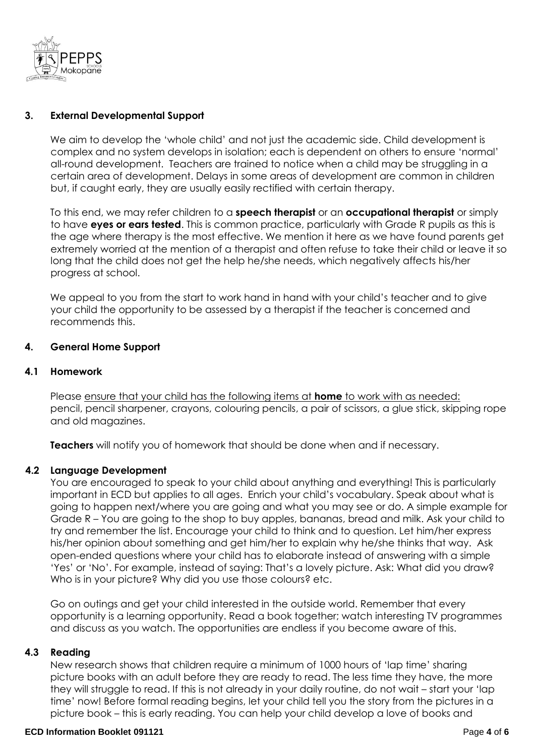

# **3. External Developmental Support**

We aim to develop the 'whole child' and not just the academic side. Child development is complex and no system develops in isolation; each is dependent on others to ensure 'normal' all-round development. Teachers are trained to notice when a child may be struggling in a certain area of development. Delays in some areas of development are common in children but, if caught early, they are usually easily rectified with certain therapy.

To this end, we may refer children to a **speech therapist** or an **occupational therapist** or simply to have **eyes or ears tested**. This is common practice, particularly with Grade R pupils as this is the age where therapy is the most effective. We mention it here as we have found parents get extremely worried at the mention of a therapist and often refuse to take their child or leave it so long that the child does not get the help he/she needs, which negatively affects his/her progress at school.

We appeal to you from the start to work hand in hand with your child's teacher and to give your child the opportunity to be assessed by a therapist if the teacher is concerned and recommends this.

#### **4. General Home Support**

# **4.1 Homework**

Please ensure that your child has the following items at **home** to work with as needed: pencil, pencil sharpener, crayons, colouring pencils, a pair of scissors, a glue stick, skipping rope and old magazines.

**Teachers** will notify you of homework that should be done when and if necessary.

#### **4.2 Language Development**

You are encouraged to speak to your child about anything and everything! This is particularly important in ECD but applies to all ages. Enrich your child's vocabulary. Speak about what is going to happen next/where you are going and what you may see or do. A simple example for Grade R – You are going to the shop to buy apples, bananas, bread and milk. Ask your child to try and remember the list. Encourage your child to think and to question. Let him/her express his/her opinion about something and get him/her to explain why he/she thinks that way. Ask open-ended questions where your child has to elaborate instead of answering with a simple 'Yes' or 'No'. For example, instead of saying: That's a lovely picture. Ask: What did you draw? Who is in your picture? Why did you use those colours? etc.

Go on outings and get your child interested in the outside world. Remember that every opportunity is a learning opportunity. Read a book together; watch interesting TV programmes and discuss as you watch. The opportunities are endless if you become aware of this.

#### **4.3 Reading**

New research shows that children require a minimum of 1000 hours of 'lap time' sharing picture books with an adult before they are ready to read. The less time they have, the more they will struggle to read. If this is not already in your daily routine, do not wait – start your 'lap time' now! Before formal reading begins, let your child tell you the story from the pictures in a picture book – this is early reading. You can help your child develop a love of books and

#### **ECD Information Booklet 091121** Page 4 of 6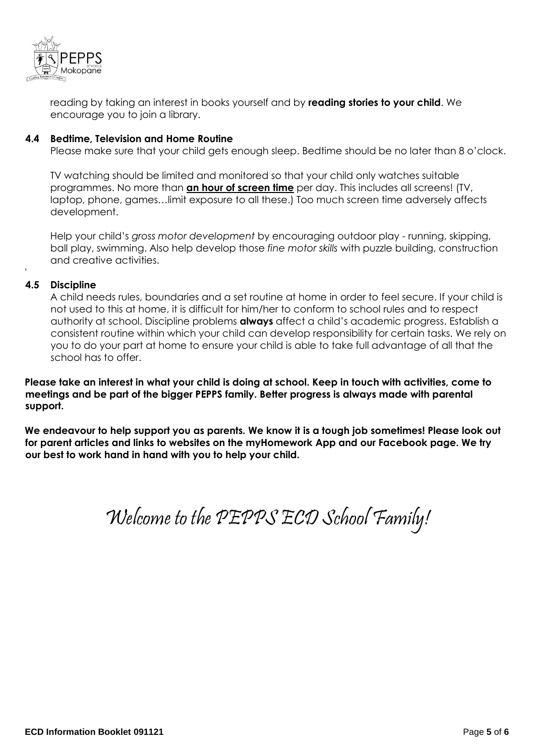

reading by taking an interest in books yourself and by **reading stories to your child**. We encourage you to join a library.

#### **4.4 Bedtime, Television and Home Routine**

Please make sure that your child gets enough sleep. Bedtime should be no later than 8 o'clock.

TV watching should be limited and monitored so that your child only watches suitable programmes. No more than **an hour of screen time** per day. This includes all screens! (TV, laptop, phone, games…limit exposure to all these.) Too much screen time adversely affects development.

Help your child's *gross motor development* by encouraging outdoor play - running, skipping, ball play, swimming. Also help develop those *fine motor skills* with puzzle building, construction and creative activities.

#### **4.5 Discipline**

'

A child needs rules, boundaries and a set routine at home in order to feel secure. If your child is not used to this at home, it is difficult for him/her to conform to school rules and to respect authority at school. Discipline problems **always** affect a child's academic progress. Establish a consistent routine within which your child can develop responsibility for certain tasks. We rely on you to do your part at home to ensure your child is able to take full advantage of all that the school has to offer.

**Please take an interest in what your child is doing at school. Keep in touch with activities, come to meetings and be part of the bigger PEPPS family. Better progress is always made with parental support.** 

**We endeavour to help support you as parents. We know it is a tough job sometimes! Please look out for parent articles and links to websites on the myHomework App and our Facebook page. We try our best to work hand in hand with you to help your child.**

Welcome to the PEPPS ECD School Family!